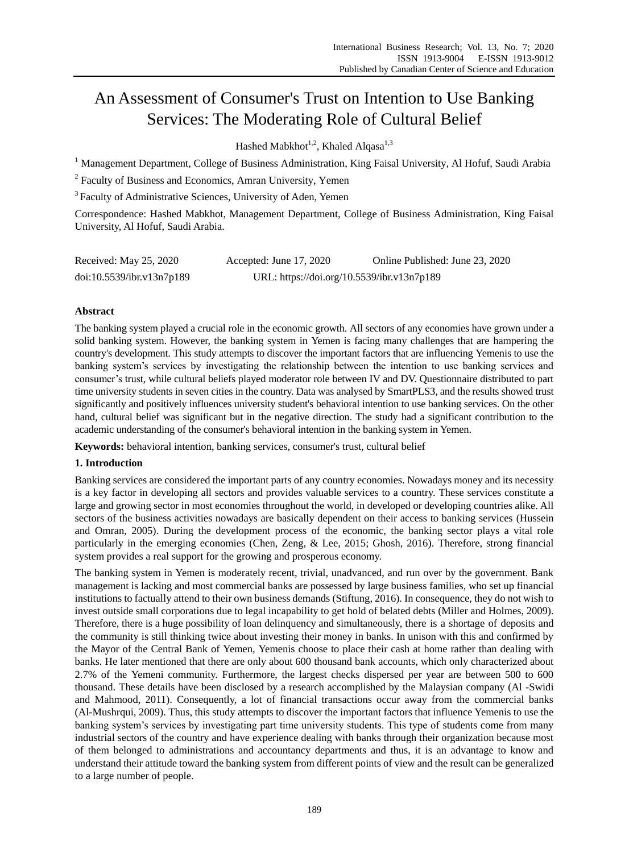# An Assessment of Consumer's Trust on Intention to Use Banking Services: The Moderating Role of Cultural Belief

Hashed Mabkhot<sup>1,2</sup>, Khaled Alqasa<sup>1,3</sup>

<sup>1</sup> Management Department, College of Business Administration, King Faisal University, Al Hofuf, Saudi Arabia

<sup>2</sup> Faculty of Business and Economics, Amran University, Yemen

<sup>3</sup> Faculty of Administrative Sciences, University of Aden, Yemen

Correspondence: Hashed Mabkhot, Management Department, College of Business Administration, King Faisal University, Al Hofuf, Saudi Arabia.

| Received: May 25, 2020    | Accepted: June $17, 2020$                  | Online Published: June 23, 2020 |
|---------------------------|--------------------------------------------|---------------------------------|
| doi:10.5539/ibr.v13n7p189 | URL: https://doi.org/10.5539/ibr.v13n7p189 |                                 |

# **Abstract**

The banking system played a crucial role in the economic growth. All sectors of any economies have grown under a solid banking system. However, the banking system in Yemen is facing many challenges that are hampering the country's development. This study attempts to discover the important factors that are influencing Yemenis to use the banking system's services by investigating the relationship between the intention to use banking services and consumer's trust, while cultural beliefs played moderator role between IV and DV. Questionnaire distributed to part time university students in seven cities in the country. Data was analysed by SmartPLS3, and the results showed trust significantly and positively influences university student's behavioral intention to use banking services. On the other hand, cultural belief was significant but in the negative direction. The study had a significant contribution to the academic understanding of the consumer's behavioral intention in the banking system in Yemen.

**Keywords:** behavioral intention, banking services, consumer's trust, cultural belief

# **1. Introduction**

Banking services are considered the important parts of any country economies. Nowadays money and its necessity is a key factor in developing all sectors and provides valuable services to a country. These services constitute a large and growing sector in most economies throughout the world, in developed or developing countries alike. All sectors of the business activities nowadays are basically dependent on their access to banking services (Hussein and Omran, 2005). During the development process of the economic, the banking sector plays a vital role particularly in the emerging economies (Chen, Zeng, & Lee, 2015; Ghosh, 2016). Therefore, strong financial system provides a real support for the growing and prosperous economy.

The banking system in Yemen is moderately recent, trivial, unadvanced, and run over by the government. Bank management is lacking and most commercial banks are possessed by large business families, who set up financial institutions to factually attend to their own business demands (Stiftung, 2016). In consequence, they do not wish to invest outside small corporations due to legal incapability to get hold of belated debts (Miller and Holmes, 2009). Therefore, there is a huge possibility of loan delinquency and simultaneously, there is a shortage of deposits and the community is still thinking twice about investing their money in banks. In unison with this and confirmed by the Mayor of the Central Bank of Yemen, Yemenis choose to place their cash at home rather than dealing with banks. He later mentioned that there are only about 600 thousand bank accounts, which only characterized about 2.7% of the Yemeni community. Furthermore, the largest checks dispersed per year are between 500 to 600 thousand. These details have been disclosed by a research accomplished by the Malaysian company (Al -Swidi and Mahmood, 2011). Consequently, a lot of financial transactions occur away from the commercial banks (Al-Mushrqui, 2009). Thus, this study attempts to discover the important factors that influence Yemenis to use the banking system's services by investigating part time university students. This type of students come from many industrial sectors of the country and have experience dealing with banks through their organization because most of them belonged to administrations and accountancy departments and thus, it is an advantage to know and understand their attitude toward the banking system from different points of view and the result can be generalized to a large number of people.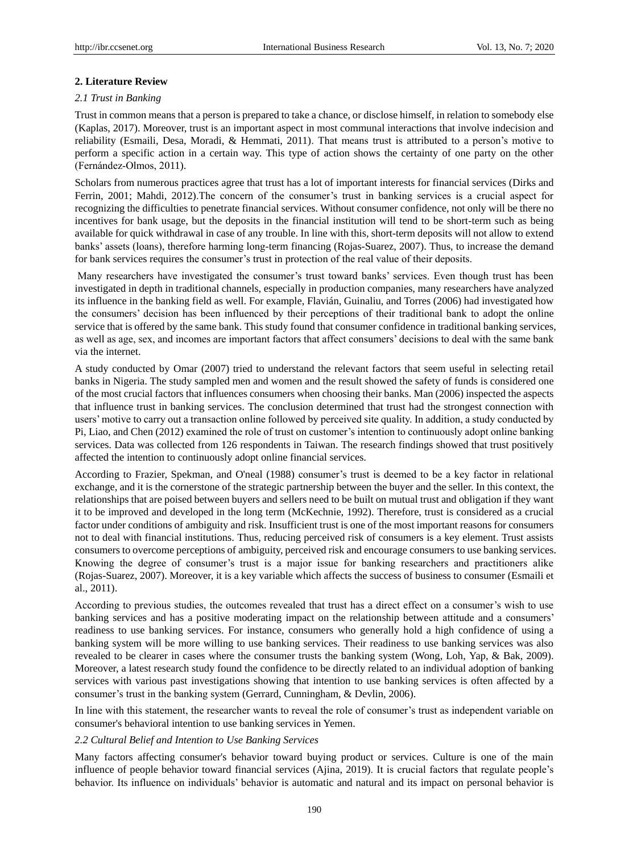# **2. Literature Review**

# *2.1 Trust in Banking*

Trust in common means that a person is prepared to take a chance, or disclose himself, in relation to somebody else (Kaplas, 2017). Moreover, trust is an important aspect in most communal interactions that involve indecision and reliability (Esmaili, Desa, Moradi, & Hemmati, 2011). That means trust is attributed to a person's motive to perform a specific action in a certain way. This type of action shows the certainty of one party on the other (Fernández‐Olmos, 2011).

Scholars from numerous practices agree that trust has a lot of important interests for financial services (Dirks and Ferrin, 2001; Mahdi, 2012).The concern of the consumer's trust in banking services is a crucial aspect for recognizing the difficulties to penetrate financial services. Without consumer confidence, not only will be there no incentives for bank usage, but the deposits in the financial institution will tend to be short-term such as being available for quick withdrawal in case of any trouble. In line with this, short-term deposits will not allow to extend banks' assets (loans), therefore harming long-term financing (Rojas-Suarez, 2007). Thus, to increase the demand for bank services requires the consumer's trust in protection of the real value of their deposits.

Many researchers have investigated the consumer's trust toward banks' services. Even though trust has been investigated in depth in traditional channels, especially in production companies, many researchers have analyzed its influence in the banking field as well. For example, Flavián, Guinaliu, and Torres (2006) had investigated how the consumers' decision has been influenced by their perceptions of their traditional bank to adopt the online service that is offered by the same bank. This study found that consumer confidence in traditional banking services, as well as age, sex, and incomes are important factors that affect consumers' decisions to deal with the same bank via the internet.

A study conducted by Omar (2007) tried to understand the relevant factors that seem useful in selecting retail banks in Nigeria. The study sampled men and women and the result showed the safety of funds is considered one of the most crucial factors that influences consumers when choosing their banks. Man (2006) inspected the aspects that influence trust in banking services. The conclusion determined that trust had the strongest connection with users' motive to carry out a transaction online followed by perceived site quality. In addition, a study conducted by Pi, Liao, and Chen (2012) examined the role of trust on customer's intention to continuously adopt online banking services. Data was collected from 126 respondents in Taiwan. The research findings showed that trust positively affected the intention to continuously adopt online financial services.

According to Frazier, Spekman, and O'neal (1988) consumer's trust is deemed to be a key factor in relational exchange, and it is the cornerstone of the strategic partnership between the buyer and the seller. In this context, the relationships that are poised between buyers and sellers need to be built on mutual trust and obligation if they want it to be improved and developed in the long term (McKechnie, 1992). Therefore, trust is considered as a crucial factor under conditions of ambiguity and risk. Insufficient trust is one of the most important reasons for consumers not to deal with financial institutions. Thus, reducing perceived risk of consumers is a key element. Trust assists consumers to overcome perceptions of ambiguity, perceived risk and encourage consumers to use banking services. Knowing the degree of consumer's trust is a major issue for banking researchers and practitioners alike (Rojas-Suarez, 2007). Moreover, it is a key variable which affects the success of business to consumer (Esmaili et al., 2011).

According to previous studies, the outcomes revealed that trust has a direct effect on a consumer's wish to use banking services and has a positive moderating impact on the relationship between attitude and a consumers' readiness to use banking services. For instance, consumers who generally hold a high confidence of using a banking system will be more willing to use banking services. Their readiness to use banking services was also revealed to be clearer in cases where the consumer trusts the banking system (Wong, Loh, Yap, & Bak, 2009). Moreover, a latest research study found the confidence to be directly related to an individual adoption of banking services with various past investigations showing that intention to use banking services is often affected by a consumer's trust in the banking system (Gerrard, Cunningham, & Devlin, 2006).

In line with this statement, the researcher wants to reveal the role of consumer's trust as independent variable on consumer's behavioral intention to use banking services in Yemen.

# *2.2 Cultural Belief and Intention to Use Banking Services*

Many factors affecting consumer's behavior toward buying product or services. Culture is one of the main influence of people behavior toward financial services (Ajina, 2019). It is crucial factors that regulate people's behavior. Its influence on individuals' behavior is automatic and natural and its impact on personal behavior is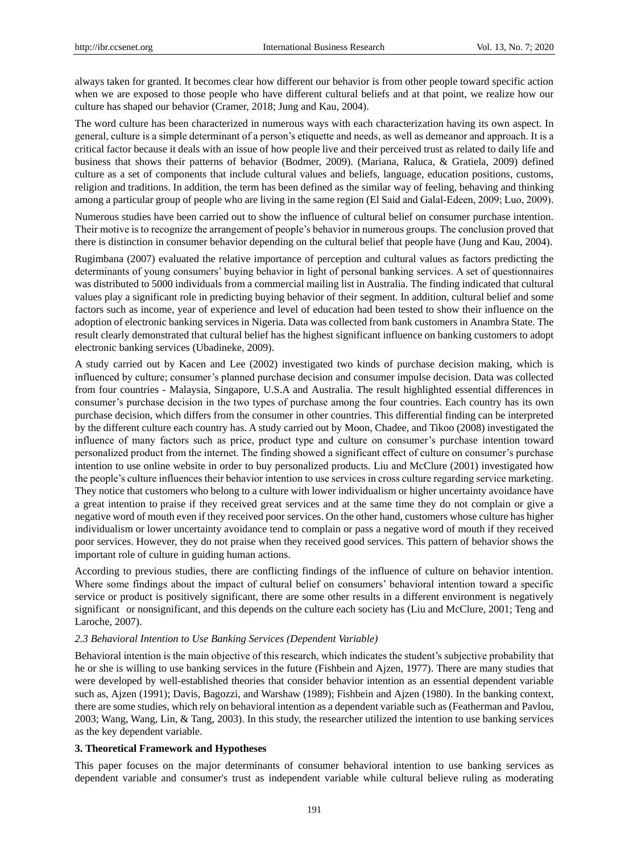always taken for granted. It becomes clear how different our behavior is from other people toward specific action when we are exposed to those people who have different cultural beliefs and at that point, we realize how our culture has shaped our behavior (Cramer, 2018; Jung and Kau, 2004).

The word culture has been characterized in numerous ways with each characterization having its own aspect. In general, culture is a simple determinant of a person's etiquette and needs, as well as demeanor and approach. It is a critical factor because it deals with an issue of how people live and their perceived trust as related to daily life and business that shows their patterns of behavior (Bodmer, 2009). (Mariana, Raluca, & Gratiela, 2009) defined culture as a set of components that include cultural values and beliefs, language, education positions, customs, religion and traditions. In addition, the term has been defined as the similar way of feeling, behaving and thinking among a particular group of people who are living in the same region (El Said and Galal‐Edeen, 2009; Luo, 2009).

Numerous studies have been carried out to show the influence of cultural belief on consumer purchase intention. Their motive is to recognize the arrangement of people's behavior in numerous groups. The conclusion proved that there is distinction in consumer behavior depending on the cultural belief that people have (Jung and Kau, 2004).

Rugimbana (2007) evaluated the relative importance of perception and cultural values as factors predicting the determinants of young consumers' buying behavior in light of personal banking services. A set of questionnaires was distributed to 5000 individuals from a commercial mailing list in Australia. The finding indicated that cultural values play a significant role in predicting buying behavior of their segment. In addition, cultural belief and some factors such as income, year of experience and level of education had been tested to show their influence on the adoption of electronic banking services in Nigeria. Data was collected from bank customers in Anambra State. The result clearly demonstrated that cultural belief has the highest significant influence on banking customers to adopt electronic banking services (Ubadineke, 2009).

A study carried out by Kacen and Lee (2002) investigated two kinds of purchase decision making, which is influenced by culture; consumer's planned purchase decision and consumer impulse decision. Data was collected from four countries - Malaysia, Singapore, U.S.A and Australia. The result highlighted essential differences in consumer's purchase decision in the two types of purchase among the four countries. Each country has its own purchase decision, which differs from the consumer in other countries. This differential finding can be interpreted by the different culture each country has. A study carried out by Moon, Chadee, and Tikoo (2008) investigated the influence of many factors such as price, product type and culture on consumer's purchase intention toward personalized product from the internet. The finding showed a significant effect of culture on consumer's purchase intention to use online website in order to buy personalized products. Liu and McClure (2001) investigated how the people's culture influences their behavior intention to use services in cross culture regarding service marketing. They notice that customers who belong to a culture with lower individualism or higher uncertainty avoidance have a great intention to praise if they received great services and at the same time they do not complain or give a negative word of mouth even if they received poor services. On the other hand, customers whose culture has higher individualism or lower uncertainty avoidance tend to complain or pass a negative word of mouth if they received poor services. However, they do not praise when they received good services. This pattern of behavior shows the important role of culture in guiding human actions.

According to previous studies, there are conflicting findings of the influence of culture on behavior intention. Where some findings about the impact of cultural belief on consumers' behavioral intention toward a specific service or product is positively significant, there are some other results in a different environment is negatively significant or nonsignificant, and this depends on the culture each society has (Liu and McClure, 2001; Teng and Laroche, 2007).

#### *2.3 Behavioral Intention to Use Banking Services (Dependent Variable)*

Behavioral intention is the main objective of this research, which indicates the student's subjective probability that he or she is willing to use banking services in the future (Fishbein and Ajzen, 1977). There are many studies that were developed by well-established theories that consider behavior intention as an essential dependent variable such as, Ajzen (1991); Davis, Bagozzi, and Warshaw (1989); Fishbein and Ajzen (1980). In the banking context, there are some studies, which rely on behavioral intention as a dependent variable such as (Featherman and Pavlou, 2003; Wang, Wang, Lin, & Tang, 2003). In this study, the researcher utilized the intention to use banking services as the key dependent variable.

#### **3. Theoretical Framework and Hypotheses**

This paper focuses on the major determinants of consumer behavioral intention to use banking services as dependent variable and consumer's trust as independent variable while cultural believe ruling as moderating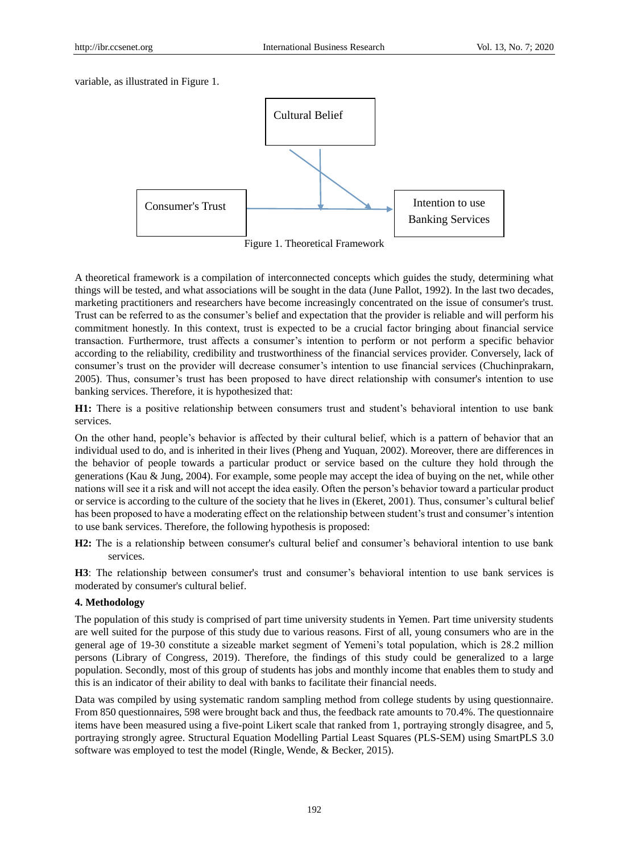variable, as illustrated in Figure 1.



Figure 1. Theoretical Framework

A theoretical framework is a compilation of interconnected concepts which guides the study, determining what things will be tested, and what associations will be sought in the data (June Pallot, 1992). In the last two decades, marketing practitioners and researchers have become increasingly concentrated on the issue of consumer's trust. Trust can be referred to as the consumer's belief and expectation that the provider is reliable and will perform his commitment honestly. In this context, trust is expected to be a crucial factor bringing about financial service transaction. Furthermore, trust affects a consumer's intention to perform or not perform a specific behavior according to the reliability, credibility and trustworthiness of the financial services provider. Conversely, lack of consumer's trust on the provider will decrease consumer's intention to use financial services (Chuchinprakarn, 2005). Thus, consumer's trust has been proposed to have direct relationship with consumer's intention to use banking services. Therefore, it is hypothesized that:

**H1:** There is a positive relationship between consumers trust and student's behavioral intention to use bank services.

On the other hand, people's behavior is affected by their cultural belief, which is a pattern of behavior that an individual used to do, and is inherited in their lives (Pheng and Yuquan, 2002). Moreover, there are differences in the behavior of people towards a particular product or service based on the culture they hold through the generations (Kau & Jung, 2004). For example, some people may accept the idea of buying on the net, while other nations will see it a risk and will not accept the idea easily. Often the person's behavior toward a particular product or service is according to the culture of the society that he lives in (Ekeret, 2001). Thus, consumer's cultural belief has been proposed to have a moderating effect on the relationship between student's trust and consumer's intention to use bank services. Therefore, the following hypothesis is proposed:

**H2:** The is a relationship between consumer's cultural belief and consumer's behavioral intention to use bank services.

**H3**: The relationship between consumer's trust and consumer's behavioral intention to use bank services is moderated by consumer's cultural belief.

## **4. Methodology**

The population of this study is comprised of part time university students in Yemen. Part time university students are well suited for the purpose of this study due to various reasons. First of all, young consumers who are in the general age of 19-30 constitute a sizeable market segment of Yemeni's total population, which is 28.2 million persons (Library of Congress, 2019). Therefore, the findings of this study could be generalized to a large population. Secondly, most of this group of students has jobs and monthly income that enables them to study and this is an indicator of their ability to deal with banks to facilitate their financial needs.

Data was compiled by using systematic random sampling method from college students by using questionnaire. From 850 questionnaires, 598 were brought back and thus, the feedback rate amounts to 70.4%. The questionnaire items have been measured using a five-point Likert scale that ranked from 1, portraying strongly disagree, and 5, portraying strongly agree. Structural Equation Modelling Partial Least Squares (PLS-SEM) using SmartPLS 3.0 software was employed to test the model (Ringle, Wende, & Becker, 2015).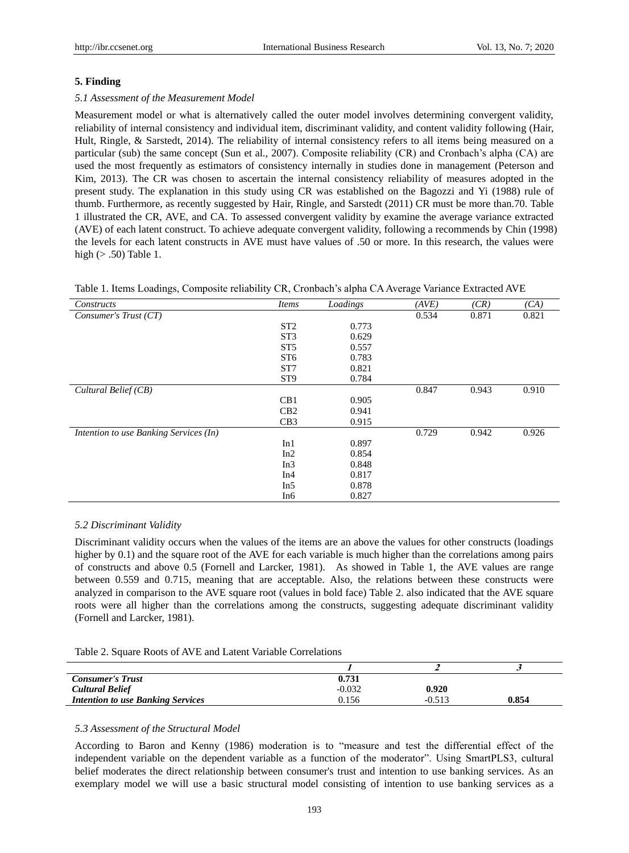# **5. Finding**

# *5.1 Assessment of the Measurement Model*

Measurement model or what is alternatively called the outer model involves determining convergent validity, reliability of internal consistency and individual item, discriminant validity, and content validity following (Hair, Hult, Ringle, & Sarstedt, 2014). The reliability of internal consistency refers to all items being measured on a particular (sub) the same concept (Sun et al., 2007). Composite reliability (CR) and Cronbach's alpha (CA) are used the most frequently as estimators of consistency internally in studies done in management (Peterson and Kim, 2013). The CR was chosen to ascertain the internal consistency reliability of measures adopted in the present study. The explanation in this study using CR was established on the Bagozzi and Yi (1988) rule of thumb. Furthermore, as recently suggested by Hair, Ringle, and Sarstedt (2011) CR must be more than.70. Table 1 illustrated the CR, AVE, and CA. To assessed convergent validity by examine the average variance extracted (AVE) of each latent construct. To achieve adequate convergent validity, following a recommends by Chin (1998) the levels for each latent constructs in AVE must have values of .50 or more. In this research, the values were high  $(> .50)$  Table 1.

| Table 1. Items Loadings, Composite reliability CR, Cronbach's alpha CA Average Variance Extracted AVE |  |  |
|-------------------------------------------------------------------------------------------------------|--|--|
|                                                                                                       |  |  |

| Constructs                             | <i>Items</i>    | Loadings | (AVE) | (CR)  | (CA)  |
|----------------------------------------|-----------------|----------|-------|-------|-------|
| Consumer's Trust (CT)                  |                 |          | 0.534 | 0.871 | 0.821 |
|                                        | ST <sub>2</sub> | 0.773    |       |       |       |
|                                        | ST <sub>3</sub> | 0.629    |       |       |       |
|                                        | ST <sub>5</sub> | 0.557    |       |       |       |
|                                        | ST <sub>6</sub> | 0.783    |       |       |       |
|                                        | ST <sub>7</sub> | 0.821    |       |       |       |
|                                        | ST <sub>9</sub> | 0.784    |       |       |       |
| Cultural Belief (CB)                   |                 |          | 0.847 | 0.943 | 0.910 |
|                                        | CB1             | 0.905    |       |       |       |
|                                        | CB2             | 0.941    |       |       |       |
|                                        | CB3             | 0.915    |       |       |       |
| Intention to use Banking Services (In) |                 |          | 0.729 | 0.942 | 0.926 |
|                                        | In1             | 0.897    |       |       |       |
|                                        | In2             | 0.854    |       |       |       |
|                                        | In3             | 0.848    |       |       |       |
|                                        | In4             | 0.817    |       |       |       |
|                                        | In5             | 0.878    |       |       |       |
|                                        | In6             | 0.827    |       |       |       |

#### *5.2 Discriminant Validity*

Discriminant validity occurs when the values of the items are an above the values for other constructs (loadings higher by 0.1) and the square root of the AVE for each variable is much higher than the correlations among pairs of constructs and above 0.5 (Fornell and Larcker, 1981). As showed in Table 1, the AVE values are range between 0.559 and 0.715, meaning that are acceptable. Also, the relations between these constructs were analyzed in comparison to the AVE square root (values in bold face) Table 2. also indicated that the AVE square roots were all higher than the correlations among the constructs, suggesting adequate discriminant validity (Fornell and Larcker, 1981).

| Table 2. Square Roots of AVE and Latent Variable Correlations |  |  |  |  |
|---------------------------------------------------------------|--|--|--|--|
|---------------------------------------------------------------|--|--|--|--|

| <b>Consumer's Trust</b>                  | 0.731    |          |       |
|------------------------------------------|----------|----------|-------|
| Cultural Belief                          | $-0.032$ | 0.920    |       |
| <b>Intention to use Banking Services</b> | 0.156    | $-0.513$ | 0.854 |

# *5.3 Assessment of the Structural Model*

According to Baron and Kenny (1986) moderation is to "measure and test the differential effect of the independent variable on the dependent variable as a function of the moderator". Using SmartPLS3, cultural belief moderates the direct relationship between consumer's trust and intention to use banking services. As an exemplary model we will use a basic structural model consisting of intention to use banking services as a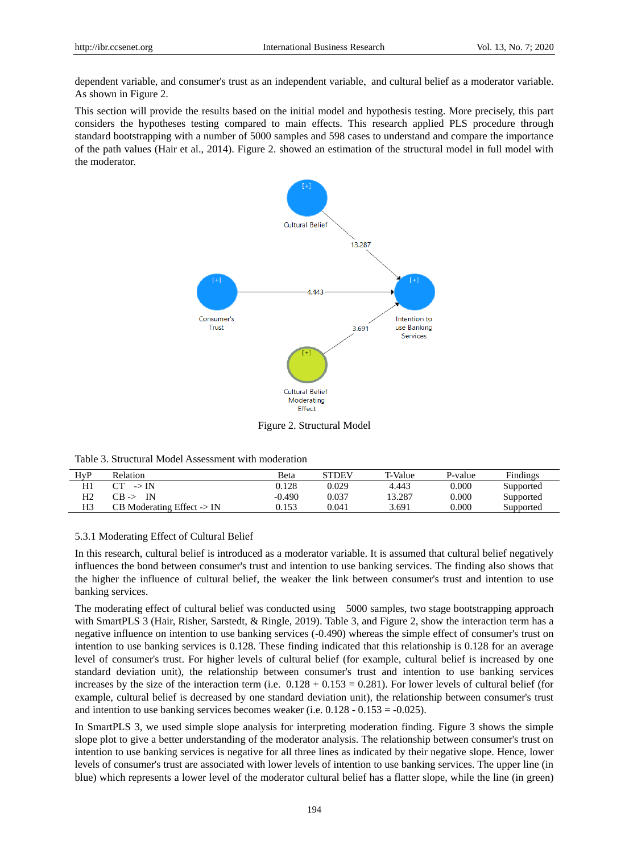dependent variable, and consumer's trust as an independent variable, and cultural belief as a moderator variable. As shown in Figure 2.

This section will provide the results based on the initial model and hypothesis testing. More precisely, this part considers the hypotheses testing compared to main effects. This research applied PLS procedure through standard bootstrapping with a number of 5000 samples and 598 cases to understand and compare the importance of the path values (Hair et al., 2014). Figure 2. showed an estimation of the structural model in full model with the moderator.



Figure 2. Structural Model

| Table 3. Structural Model Assessment with moderation |  |
|------------------------------------------------------|--|
|------------------------------------------------------|--|

| HvP | Relation                                | Beta     | STDEV | T-Value | P-value | Findings  |
|-----|-----------------------------------------|----------|-------|---------|---------|-----------|
| H1  | $\rightarrow$ IN                        | 0.128    | 0.029 | 4.443   | 0.000   | Supported |
| Η2  | $CB \rightarrow IN$                     | $-0.490$ | 0.037 | 13.287  | 0.000   | Supported |
| H3  | $CB$ Moderating Effect $\rightarrow$ IN | 0.153    | 0.041 | 3.691   | 0.000   | Supported |

# 5.3.1 Moderating Effect of Cultural Belief

In this research, cultural belief is introduced as a moderator variable. It is assumed that cultural belief negatively influences the bond between consumer's trust and intention to use banking services. The finding also shows that the higher the influence of cultural belief, the weaker the link between consumer's trust and intention to use banking services.

The moderating effect of cultural belief was conducted using 5000 samples, two stage bootstrapping approach with SmartPLS 3 (Hair, Risher, Sarstedt, & Ringle, 2019). Table 3, and Figure 2, show the interaction term has a negative influence on intention to use banking services (-0.490) whereas the simple effect of consumer's trust on intention to use banking services is 0.128. These finding indicated that this relationship is 0.128 for an average level of consumer's trust. For higher levels of cultural belief (for example, cultural belief is increased by one standard deviation unit), the relationship between consumer's trust and intention to use banking services increases by the size of the interaction term (i.e.  $0.128 + 0.153 = 0.281$ ). For lower levels of cultural belief (for example, cultural belief is decreased by one standard deviation unit), the relationship between consumer's trust and intention to use banking services becomes weaker (i.e.  $0.128 - 0.153 = -0.025$ ).

In SmartPLS 3, we used simple slope analysis for interpreting moderation finding. Figure 3 shows the simple slope plot to give a better understanding of the moderator analysis. The relationship between consumer's trust on intention to use banking services is negative for all three lines as indicated by their negative slope. Hence, lower levels of consumer's trust are associated with lower levels of intention to use banking services. The upper line (in blue) which represents a lower level of the moderator cultural belief has a flatter slope, while the line (in green)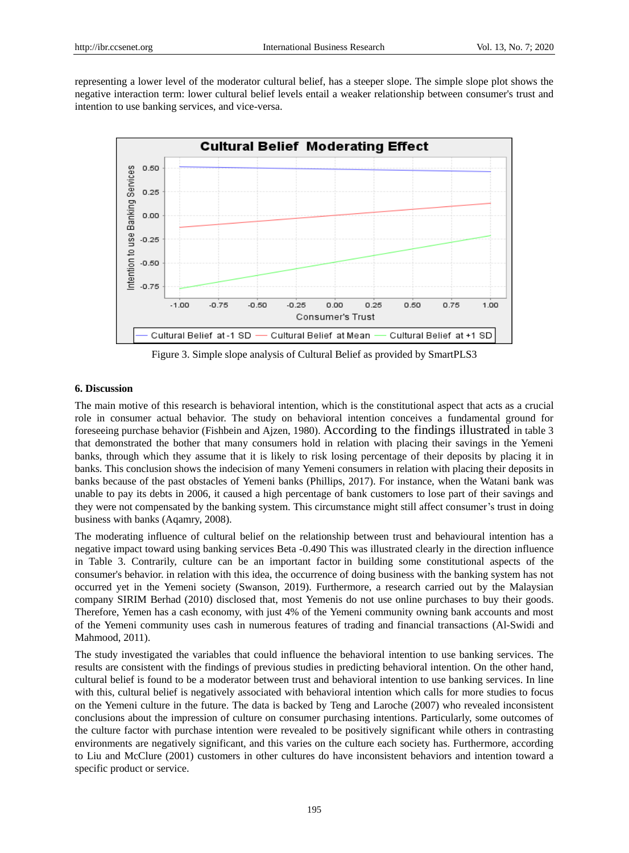representing a lower level of the moderator cultural belief, has a steeper slope. The simple slope plot shows the negative interaction term: lower cultural belief levels entail a weaker relationship between consumer's trust and intention to use banking services, and vice-versa.



Figure 3. Simple slope analysis of Cultural Belief as provided by SmartPLS3

## **6. Discussion**

The main motive of this research is behavioral intention, which is the constitutional aspect that acts as a crucial role in consumer actual behavior. The study on behavioral intention conceives a fundamental ground for foreseeing purchase behavior (Fishbein and Ajzen, 1980). According to the findings illustrated in table 3 that demonstrated the bother that many consumers hold in relation with placing their savings in the Yemeni banks, through which they assume that it is likely to risk losing percentage of their deposits by placing it in banks. This conclusion shows the indecision of many Yemeni consumers in relation with placing their deposits in banks because of the past obstacles of Yemeni banks (Phillips, 2017). For instance, when the Watani bank was unable to pay its debts in 2006, it caused a high percentage of bank customers to lose part of their savings and they were not compensated by the banking system. This circumstance might still affect consumer's trust in doing business with banks (Aqamry, 2008).

The moderating influence of cultural belief on the relationship between trust and behavioural intention has a negative impact toward using banking services Beta -0.490 This was illustrated clearly in the direction influence in Table 3. Contrarily, culture can be an important factor in building some constitutional aspects of the consumer's behavior. in relation with this idea, the occurrence of doing business with the banking system has not occurred yet in the Yemeni society (Swanson, 2019). Furthermore, a research carried out by the Malaysian company SIRIM Berhad (2010) disclosed that, most Yemenis do not use online purchases to buy their goods. Therefore, Yemen has a cash economy, with just 4% of the Yemeni community owning bank accounts and most of the Yemeni community uses cash in numerous features of trading and financial transactions (Al-Swidi and Mahmood, 2011).

The study investigated the variables that could influence the behavioral intention to use banking services. The results are consistent with the findings of previous studies in predicting behavioral intention. On the other hand, cultural belief is found to be a moderator between trust and behavioral intention to use banking services. In line with this, cultural belief is negatively associated with behavioral intention which calls for more studies to focus on the Yemeni culture in the future. The data is backed by Teng and Laroche (2007) who revealed inconsistent conclusions about the impression of culture on consumer purchasing intentions. Particularly, some outcomes of the culture factor with purchase intention were revealed to be positively significant while others in contrasting environments are negatively significant, and this varies on the culture each society has. Furthermore, according to Liu and McClure (2001) customers in other cultures do have inconsistent behaviors and intention toward a specific product or service.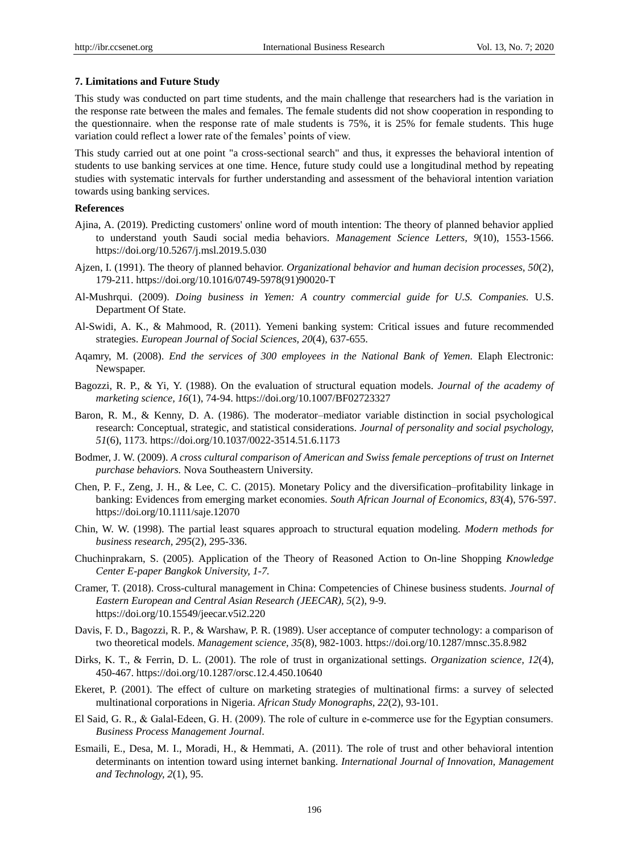#### **7. Limitations and Future Study**

This study was conducted on part time students, and the main challenge that researchers had is the variation in the response rate between the males and females. The female students did not show cooperation in responding to the questionnaire. when the response rate of male students is 75%, it is 25% for female students. This huge variation could reflect a lower rate of the females' points of view.

This study carried out at one point "a cross-sectional search" and thus, it expresses the behavioral intention of students to use banking services at one time. Hence, future study could use a longitudinal method by repeating studies with systematic intervals for further understanding and assessment of the behavioral intention variation towards using banking services.

#### **References**

- Ajina, A. (2019). Predicting customers' online word of mouth intention: The theory of planned behavior applied to understand youth Saudi social media behaviors. *Management Science Letters, 9*(10), 1553-1566. <https://doi.org/10.5267/j.msl.2019.5.030>
- Ajzen, I. (1991). The theory of planned behavior. *Organizational behavior and human decision processes, 50*(2), 179-211. [https://doi.org/10.1016/0749-5978\(91\)90020-T](https://doi.org/10.1016/0749-5978(91)90020-T)
- Al-Mushrqui. (2009). *Doing business in Yemen: A country commercial guide for U.S. Companies.* U.S. Department Of State.
- Al-Swidi, A. K., & Mahmood, R. (2011). Yemeni banking system: Critical issues and future recommended strategies. *European Journal of Social Sciences, 20*(4), 637-655.
- Aqamry, M. (2008). *End the services of 300 employees in the National Bank of Yemen.* Elaph Electronic: Newspaper.
- Bagozzi, R. P., & Yi, Y. (1988). On the evaluation of structural equation models. *Journal of the academy of marketing science, 16*(1), 74-94. <https://doi.org/10.1007/BF02723327>
- Baron, R. M., & Kenny, D. A. (1986). The moderator–mediator variable distinction in social psychological research: Conceptual, strategic, and statistical considerations. *Journal of personality and social psychology, 51*(6), 1173.<https://doi.org/10.1037/0022-3514.51.6.1173>
- Bodmer, J. W. (2009). *A cross cultural comparison of American and Swiss female perceptions of trust on Internet purchase behaviors.* Nova Southeastern University.
- Chen, P. F., Zeng, J. H., & Lee, C. C. (2015). Monetary Policy and the diversification–profitability linkage in banking: Evidences from emerging market economies. *South African Journal of Economics, 83*(4), 576-597. <https://doi.org/10.1111/saje.12070>
- Chin, W. W. (1998). The partial least squares approach to structural equation modeling. *Modern methods for business research, 295*(2), 295-336.
- Chuchinprakarn, S. (2005). Application of the Theory of Reasoned Action to On-line Shopping *Knowledge Center E-paper Bangkok University, 1-7.*
- Cramer, T. (2018). Cross-cultural management in China: Competencies of Chinese business students. *Journal of Eastern European and Central Asian Research (JEECAR), 5*(2), 9-9. <https://doi.org/10.15549/jeecar.v5i2.220>
- Davis, F. D., Bagozzi, R. P., & Warshaw, P. R. (1989). User acceptance of computer technology: a comparison of two theoretical models. *Management science, 35*(8), 982-1003.<https://doi.org/10.1287/mnsc.35.8.982>
- Dirks, K. T., & Ferrin, D. L. (2001). The role of trust in organizational settings. *Organization science, 12*(4), 450-467.<https://doi.org/10.1287/orsc.12.4.450.10640>
- Ekeret, P. (2001). The effect of culture on marketing strategies of multinational firms: a survey of selected multinational corporations in Nigeria. *African Study Monographs, 22*(2), 93-101.
- El Said, G. R., & Galal-Edeen, G. H. (2009). The role of culture in e-commerce use for the Egyptian consumers. *Business Process Management Journal*.
- Esmaili, E., Desa, M. I., Moradi, H., & Hemmati, A. (2011). The role of trust and other behavioral intention determinants on intention toward using internet banking. *International Journal of Innovation, Management and Technology, 2*(1), 95.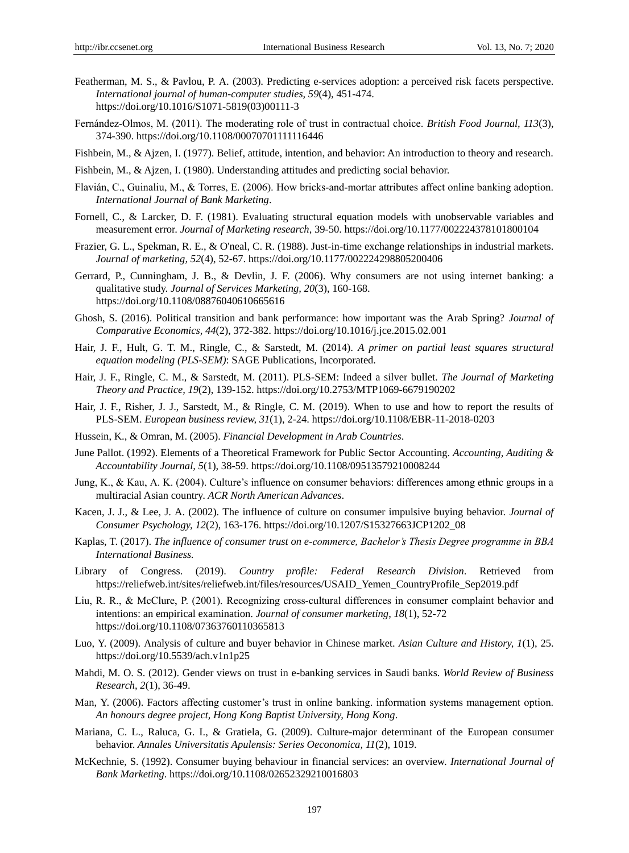- Featherman, M. S., & Pavlou, P. A. (2003). Predicting e-services adoption: a perceived risk facets perspective. *International journal of human-computer studies, 59*(4), 451-474. https://doi.org/10.1016/S1071-5819(03)00111-3
- Fernández‐Olmos, M. (2011). The moderating role of trust in contractual choice. *British Food Journal, 113*(3), 374-390.<https://doi.org/10.1108/00070701111116446>
- Fishbein, M., & Ajzen, I. (1977). Belief, attitude, intention, and behavior: An introduction to theory and research.
- Fishbein, M., & Ajzen, I. (1980). Understanding attitudes and predicting social behavior.
- Flavián, C., Guinaliu, M., & Torres, E. (2006). How bricks-and-mortar attributes affect online banking adoption. *International Journal of Bank Marketing*.
- Fornell, C., & Larcker, D. F. (1981). Evaluating structural equation models with unobservable variables and measurement error. *Journal of Marketing research*, 39-50.<https://doi.org/10.1177/002224378101800104>
- Frazier, G. L., Spekman, R. E., & O'neal, C. R. (1988). Just-in-time exchange relationships in industrial markets. *Journal of marketing, 52*(4), 52-67.<https://doi.org/10.1177/002224298805200406>
- Gerrard, P., Cunningham, J. B., & Devlin, J. F. (2006). Why consumers are not using internet banking: a qualitative study. *Journal of Services Marketing, 20*(3), 160-168. <https://doi.org/10.1108/08876040610665616>
- Ghosh, S. (2016). Political transition and bank performance: how important was the Arab Spring? *Journal of Comparative Economics, 44*(2), 372-382[. https://doi.org/10.1016/j.jce.2015.02.001](https://doi.org/10.1016/j.jce.2015.02.001)
- Hair, J. F., Hult, G. T. M., Ringle, C., & Sarstedt, M. (2014). *A primer on partial least squares structural equation modeling (PLS-SEM)*: SAGE Publications, Incorporated.
- Hair, J. F., Ringle, C. M., & Sarstedt, M. (2011). PLS-SEM: Indeed a silver bullet. *The Journal of Marketing Theory and Practice, 19*(2), 139-152.<https://doi.org/10.2753/MTP1069-6679190202>
- Hair, J. F., Risher, J. J., Sarstedt, M., & Ringle, C. M. (2019). When to use and how to report the results of PLS-SEM. *European business review, 31*(1), 2-24[. https://doi.org/10.1108/EBR-11-2018-0203](https://doi.org/10.1108/EBR-11-2018-0203)
- Hussein, K., & Omran, M. (2005). *Financial Development in Arab Countries*.
- June Pallot. (1992). Elements of a Theoretical Framework for Public Sector Accounting. *Accounting, Auditing & Accountability Journal, 5*(1), 38-59.<https://doi.org/10.1108/09513579210008244>
- Jung, K., & Kau, A. K. (2004). Culture's influence on consumer behaviors: differences among ethnic groups in a multiracial Asian country. *ACR North American Advances*.
- Kacen, J. J., & Lee, J. A. (2002). The influence of culture on consumer impulsive buying behavior. *Journal of Consumer Psychology, 12*(2), 163-176. [https://doi.org/10.1207/S15327663JCP1202\\_08](https://doi.org/10.1207/S15327663JCP1202_08)
- Kaplas, T. (2017). *The influence of consumer trust on e-commerce, Bachelor's Thesis Degree programme in BBA International Business.*
- Library of Congress. (2019). *Country profile: Federal Research Division*. Retrieved from [https://reliefweb.int/sites/reliefweb.int/files/resources/USAID\\_Yemen\\_CountryProfile\\_Sep2019.pdf](https://reliefweb.int/sites/reliefweb.int/files/resources/USAID_Yemen_CountryProfile_Sep2019.pdf)
- Liu, R. R., & McClure, P. (2001). Recognizing cross-cultural differences in consumer complaint behavior and intentions: an empirical examination. *Journal of consumer marketing*, *18*(1), 52-72 https://doi.org/10.1108/07363760110365813
- Luo, Y. (2009). Analysis of culture and buyer behavior in Chinese market. *Asian Culture and History, 1*(1), 25. <https://doi.org/10.5539/ach.v1n1p25>
- Mahdi, M. O. S. (2012). Gender views on trust in e-banking services in Saudi banks. *World Review of Business Research, 2*(1), 36-49.
- Man, Y. (2006). Factors affecting customer's trust in online banking. information systems management option. *An honours degree project, Hong Kong Baptist University, Hong Kong*.
- Mariana, C. L., Raluca, G. I., & Gratiela, G. (2009). Culture-major determinant of the European consumer behavior. *Annales Universitatis Apulensis: Series Oeconomica, 11*(2), 1019.
- McKechnie, S. (1992). Consumer buying behaviour in financial services: an overview. *International Journal of Bank Marketing*[. https://doi.org/10.1108/02652329210016803](https://doi.org/10.1108/02652329210016803)